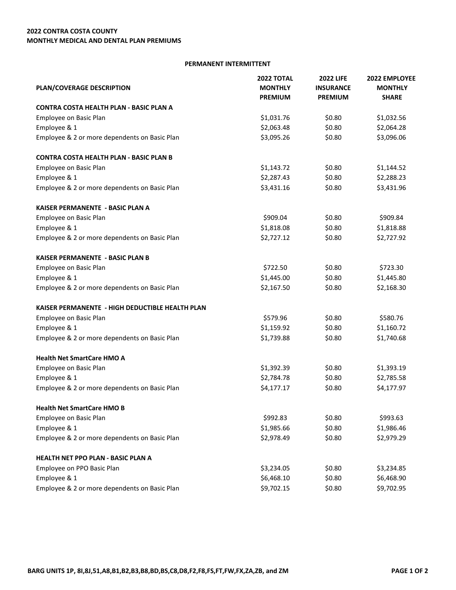## **PERMANENT INTERMITTENT**

| PLAN/COVERAGE DESCRIPTION                       | <b>2022 TOTAL</b><br><b>MONTHLY</b><br><b>PREMIUM</b> | <b>2022 LIFE</b><br><b>INSURANCE</b><br><b>PREMIUM</b> | 2022 EMPLOYEE<br><b>MONTHLY</b><br><b>SHARE</b> |                                         |            |        |            |
|-------------------------------------------------|-------------------------------------------------------|--------------------------------------------------------|-------------------------------------------------|-----------------------------------------|------------|--------|------------|
|                                                 |                                                       |                                                        |                                                 | CONTRA COSTA HEALTH PLAN - BASIC PLAN A |            |        |            |
|                                                 |                                                       |                                                        |                                                 | Employee on Basic Plan                  | \$1,031.76 | \$0.80 | \$1,032.56 |
| Employee & 1                                    | \$2,063.48                                            | \$0.80                                                 | \$2,064.28                                      |                                         |            |        |            |
| Employee & 2 or more dependents on Basic Plan   | \$3,095.26                                            | \$0.80                                                 | \$3,096.06                                      |                                         |            |        |            |
| <b>CONTRA COSTA HEALTH PLAN - BASIC PLAN B</b>  |                                                       |                                                        |                                                 |                                         |            |        |            |
| Employee on Basic Plan                          | \$1,143.72                                            | \$0.80                                                 | \$1,144.52                                      |                                         |            |        |            |
| Employee & 1                                    | \$2,287.43                                            | \$0.80                                                 | \$2,288.23                                      |                                         |            |        |            |
| Employee & 2 or more dependents on Basic Plan   | \$3,431.16                                            | \$0.80                                                 | \$3,431.96                                      |                                         |            |        |            |
| KAISER PERMANENTE - BASIC PLAN A                |                                                       |                                                        |                                                 |                                         |            |        |            |
| Employee on Basic Plan                          | \$909.04                                              | \$0.80                                                 | \$909.84                                        |                                         |            |        |            |
| Employee & 1                                    | \$1,818.08                                            | \$0.80                                                 | \$1,818.88                                      |                                         |            |        |            |
| Employee & 2 or more dependents on Basic Plan   | \$2,727.12                                            | \$0.80                                                 | \$2,727.92                                      |                                         |            |        |            |
| <b>KAISER PERMANENTE - BASIC PLAN B</b>         |                                                       |                                                        |                                                 |                                         |            |        |            |
| Employee on Basic Plan                          | \$722.50                                              | \$0.80                                                 | \$723.30                                        |                                         |            |        |            |
| Employee & 1                                    | \$1,445.00                                            | \$0.80                                                 | \$1,445.80                                      |                                         |            |        |            |
| Employee & 2 or more dependents on Basic Plan   | \$2,167.50                                            | \$0.80                                                 | \$2,168.30                                      |                                         |            |        |            |
| KAISER PERMANENTE - HIGH DEDUCTIBLE HEALTH PLAN |                                                       |                                                        |                                                 |                                         |            |        |            |
| Employee on Basic Plan                          | \$579.96                                              | \$0.80                                                 | \$580.76                                        |                                         |            |        |            |
| Employee & 1                                    | \$1,159.92                                            | \$0.80                                                 | \$1,160.72                                      |                                         |            |        |            |
| Employee & 2 or more dependents on Basic Plan   | \$1,739.88                                            | \$0.80                                                 | \$1,740.68                                      |                                         |            |        |            |
| <b>Health Net SmartCare HMO A</b>               |                                                       |                                                        |                                                 |                                         |            |        |            |
| Employee on Basic Plan                          | \$1,392.39                                            | \$0.80                                                 | \$1,393.19                                      |                                         |            |        |            |
| Employee & 1                                    | \$2,784.78                                            | \$0.80                                                 | \$2,785.58                                      |                                         |            |        |            |
| Employee & 2 or more dependents on Basic Plan   | \$4,177.17                                            | \$0.80                                                 | \$4,177.97                                      |                                         |            |        |            |
| <b>Health Net SmartCare HMO B</b>               |                                                       |                                                        |                                                 |                                         |            |        |            |
| Employee on Basic Plan                          | \$992.83                                              | \$0.80                                                 | \$993.63                                        |                                         |            |        |            |
| Employee & 1                                    | \$1,985.66                                            | \$0.80                                                 | \$1,986.46                                      |                                         |            |        |            |
| Employee & 2 or more dependents on Basic Plan   | \$2,978.49                                            | \$0.80                                                 | \$2,979.29                                      |                                         |            |        |            |
| HEALTH NET PPO PLAN - BASIC PLAN A              |                                                       |                                                        |                                                 |                                         |            |        |            |
| Employee on PPO Basic Plan                      | \$3,234.05                                            | \$0.80                                                 | \$3,234.85                                      |                                         |            |        |            |
| Employee & 1                                    | \$6,468.10                                            | \$0.80                                                 | \$6,468.90                                      |                                         |            |        |            |
| Employee & 2 or more dependents on Basic Plan   | \$9,702.15                                            | \$0.80                                                 | \$9,702.95                                      |                                         |            |        |            |